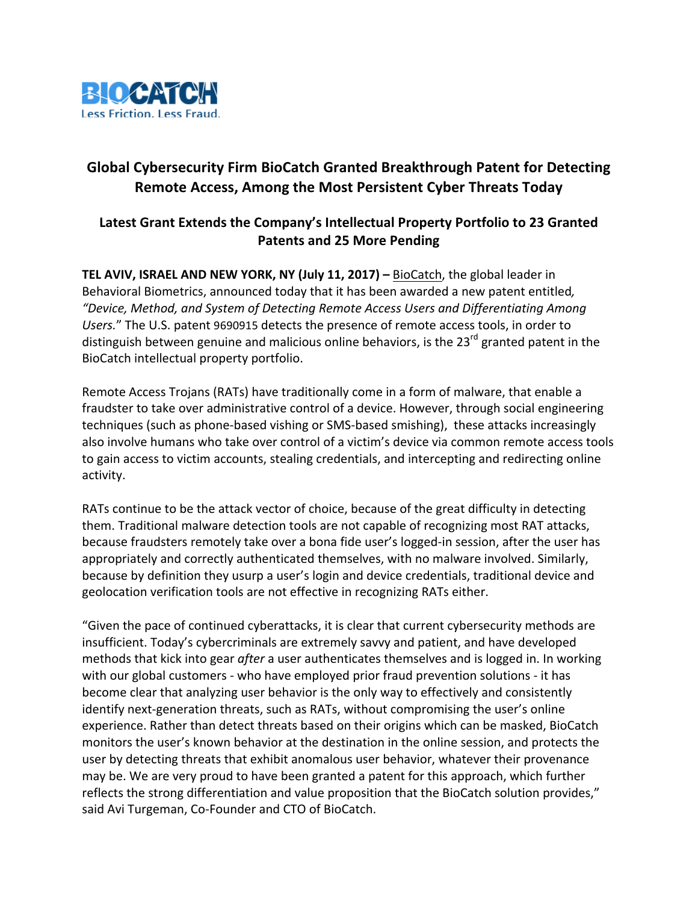

## **Global Cybersecurity Firm BioCatch Granted Breakthrough Patent for Detecting Remote Access, Among the Most Persistent Cyber Threats Today**

## Latest Grant Extends the Company's Intellectual Property Portfolio to 23 Granted **Patents and 25 More Pending**

**TEL AVIV, ISRAEL AND NEW YORK, NY (July 11, 2017) – BioCatch, the global leader in** Behavioral Biometrics, announced today that it has been awarded a new patent entitled, *"Device, Method, and System of Detecting Remote Access Users and Differentiating Among*  Users." The U.S. patent 9690915 detects the presence of remote access tools, in order to distinguish between genuine and malicious online behaviors, is the  $23^{rd}$  granted patent in the BioCatch intellectual property portfolio.

Remote Access Trojans (RATs) have traditionally come in a form of malware, that enable a fraudster to take over administrative control of a device. However, through social engineering techniques (such as phone-based vishing or SMS-based smishing), these attacks increasingly also involve humans who take over control of a victim's device via common remote access tools to gain access to victim accounts, stealing credentials, and intercepting and redirecting online activity. 

RATs continue to be the attack vector of choice, because of the great difficulty in detecting them. Traditional malware detection tools are not capable of recognizing most RAT attacks, because fraudsters remotely take over a bona fide user's logged-in session, after the user has appropriately and correctly authenticated themselves, with no malware involved. Similarly, because by definition they usurp a user's login and device credentials, traditional device and geolocation verification tools are not effective in recognizing RATs either.

"Given the pace of continued cyberattacks, it is clear that current cybersecurity methods are insufficient. Today's cybercriminals are extremely savvy and patient, and have developed methods that kick into gear *after* a user authenticates themselves and is logged in. In working with our global customers - who have employed prior fraud prevention solutions - it has become clear that analyzing user behavior is the only way to effectively and consistently identify next-generation threats, such as RATs, without compromising the user's online experience. Rather than detect threats based on their origins which can be masked, BioCatch monitors the user's known behavior at the destination in the online session, and protects the user by detecting threats that exhibit anomalous user behavior, whatever their provenance may be. We are very proud to have been granted a patent for this approach, which further reflects the strong differentiation and value proposition that the BioCatch solution provides," said Avi Turgeman, Co-Founder and CTO of BioCatch.